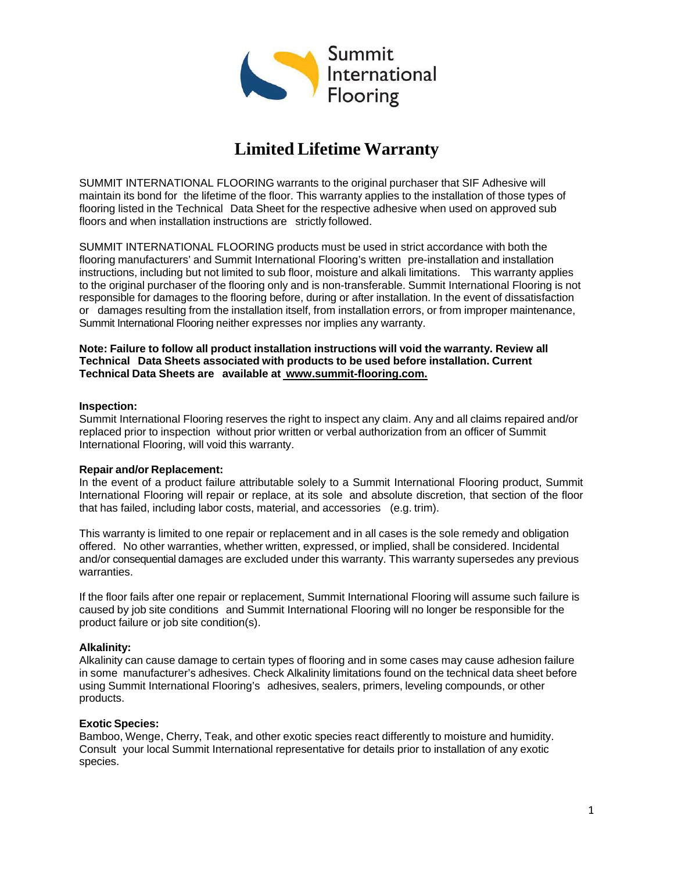

# **Limited Lifetime Warranty**

SUMMIT INTERNATIONAL FLOORING warrants to the original purchaser that SIF Adhesive will maintain its bond for the lifetime of the floor. This warranty applies to the installation of those types of flooring listed in the Technical Data Sheet for the respective adhesive when used on approved sub floors and when installation instructions are strictly followed.

SUMMIT INTERNATIONAL FLOORING products must be used in strict accordance with both the flooring manufacturers' and Summit International Flooring's written pre-installation and installation instructions, including but not limited to sub floor, moisture and alkali limitations. This warranty applies to the original purchaser of the flooring only and is non-transferable. Summit International Flooring is not responsible for damages to the flooring before, during or after installation. In the event of dissatisfaction or damages resulting from the installation itself, from installation errors, or from improper maintenance, Summit International Flooring neither expresses nor implies any warranty.

#### **Note: Failure to follow all product installation instructions will void the warranty. Review all Technical Data Sheets associated with products to be used before installation. Current Technical Data Sheets are available at [www.summit-flooring.com.](http://www.summit-flooring.com./)**

#### **Inspection:**

Summit International Flooring reserves the right to inspect any claim. Any and all claims repaired and/or replaced prior to inspection without prior written or verbal authorization from an officer of Summit International Flooring, will void this warranty.

#### **Repair and/or Replacement:**

In the event of a product failure attributable solely to a Summit International Flooring product, Summit International Flooring will repair or replace, at its sole and absolute discretion, that section of the floor that has failed, including labor costs, material, and accessories (e.g. trim).

This warranty is limited to one repair or replacement and in all cases is the sole remedy and obligation offered. No other warranties, whether written, expressed, or implied, shall be considered. Incidental and/or consequential damages are excluded under this warranty. This warranty supersedes any previous warranties.

If the floor fails after one repair or replacement, Summit International Flooring will assume such failure is caused by job site conditions and Summit International Flooring will no longer be responsible for the product failure or job site condition(s).

#### **Alkalinity:**

Alkalinity can cause damage to certain types of flooring and in some cases may cause adhesion failure in some manufacturer's adhesives. Check Alkalinity limitations found on the technical data sheet before using Summit International Flooring's adhesives, sealers, primers, leveling compounds, or other products.

#### **Exotic Species:**

Bamboo, Wenge, Cherry, Teak, and other exotic species react differently to moisture and humidity. Consult your local Summit International representative for details prior to installation of any exotic species.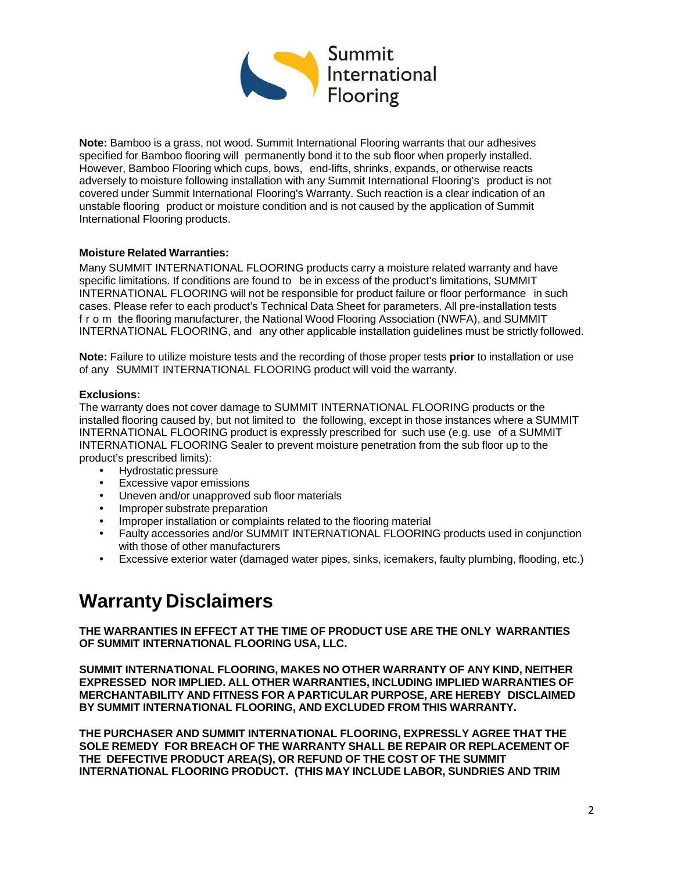

**Note:** Bamboo is a grass, not wood. Summit International Flooring warrants that our adhesives specified for Bamboo flooring will permanently bond it to the sub floor when properly installed. However, Bamboo Flooring which cups, bows, end-lifts, shrinks, expands, or otherwise reacts adversely to moisture following installation with any Summit International Flooring's product is not covered under Summit International Flooring's Warranty. Such reaction is a clear indication of an unstable flooring product or moisture condition and is not caused by the application of Summit International Flooring products.

## **Moisture Related Warranties:**

Many SUMMIT INTERNATIONAL FLOORING products carry a moisture related warranty and have specific limitations. If conditions are found to be in excess of the product's limitations, SUMMIT INTERNATIONAL FLOORING will not be responsible for product failure or floor performance in such cases. Please refer to each product's Technical Data Sheet for parameters. All pre-installation tests from the flooring manufacturer, the National Wood Flooring Association (NWFA), and SUMMIT INTERNATIONAL FLOORING, and any other applicable installation guidelines must be strictly followed.

**Note:** Failure to utilize moisture tests and the recording of those proper tests **prior** to installation or use of any SUMMIT INTERNATIONAL FLOORING product will void the warranty.

## **Exclusions:**

The warranty does not cover damage to SUMMIT INTERNATIONAL FLOORING products or the installed flooring caused by, but not limited to the following, except in those instances where a SUMMIT INTERNATIONAL FLOORING product is expressly prescribed for such use (e.g. use of a SUMMIT INTERNATIONAL FLOORING Sealer to prevent moisture penetration from the sub floor up to the product's prescribed limits):

- Hydrostatic pressure
- Excessive vapor emissions<br>• Uneven and/or unapproved
- Uneven and/or unapproved sub floor materials
- Improper substrate preparation
- Improper installation or complaints related to the flooring material
- Faulty accessories and/or SUMMIT INTERNATIONAL FLOORING products used in conjunction with those of other manufacturers
- Excessive exterior water (damaged water pipes, sinks, icemakers, faulty plumbing, flooding, etc.)

# **Warranty Disclaimers**

**THE WARRANTIES IN EFFECT AT THE TIME OF PRODUCT USE ARE THE ONLY WARRANTIES OF SUMMIT INTERNATIONAL FLOORING USA, LLC.**

**SUMMIT INTERNATIONAL FLOORING, MAKES NO OTHER WARRANTY OF ANY KIND, NEITHER EXPRESSED NOR IMPLIED. ALL OTHER WARRANTIES, INCLUDING IMPLIED WARRANTIES OF MERCHANTABILITY AND FITNESS FOR A PARTICULAR PURPOSE, ARE HEREBY DISCLAIMED BY SUMMIT INTERNATIONAL FLOORING, AND EXCLUDED FROM THIS WARRANTY.**

**THE PURCHASER AND SUMMIT INTERNATIONAL FLOORING, EXPRESSLY AGREE THAT THE SOLE REMEDY FOR BREACH OF THE WARRANTY SHALL BE REPAIR OR REPLACEMENT OF THE DEFECTIVE PRODUCT AREA(S), OR REFUND OF THE COST OF THE SUMMIT INTERNATIONAL FLOORING PRODUCT. (THIS MAY INCLUDE LABOR, SUNDRIES AND TRIM**